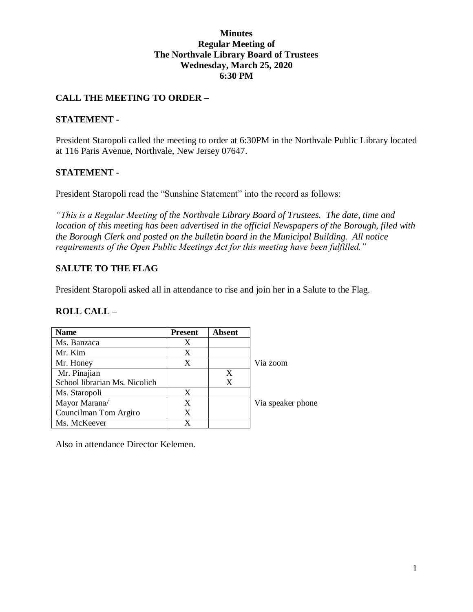#### **Minutes Regular Meeting of The Northvale Library Board of Trustees Wednesday, March 25, 2020 6:30 PM**

### **CALL THE MEETING TO ORDER –**

#### **STATEMENT -**

President Staropoli called the meeting to order at 6:30PM in the Northvale Public Library located at 116 Paris Avenue, Northvale, New Jersey 07647.

#### **STATEMENT -**

President Staropoli read the "Sunshine Statement" into the record as follows:

*"This is a Regular Meeting of the Northvale Library Board of Trustees. The date, time and location of this meeting has been advertised in the official Newspapers of the Borough, filed with the Borough Clerk and posted on the bulletin board in the Municipal Building. All notice requirements of the Open Public Meetings Act for this meeting have been fulfilled."* 

### **SALUTE TO THE FLAG**

President Staropoli asked all in attendance to rise and join her in a Salute to the Flag.

#### **ROLL CALL –**

| <b>Name</b>                   | <b>Present</b> | <b>Absent</b> |                   |
|-------------------------------|----------------|---------------|-------------------|
| Ms. Banzaca                   | X              |               |                   |
| Mr. Kim                       | X              |               |                   |
| Mr. Honey                     | X              |               | Via zoom          |
| Mr. Pinajian                  |                | X             |                   |
| School librarian Ms. Nicolich |                | X             |                   |
| Ms. Staropoli                 | X              |               |                   |
| Mayor Marana/                 | X              |               | Via speaker phone |
| Councilman Tom Argiro         | X              |               |                   |
| Ms. McKeever                  | X              |               |                   |

Also in attendance Director Kelemen.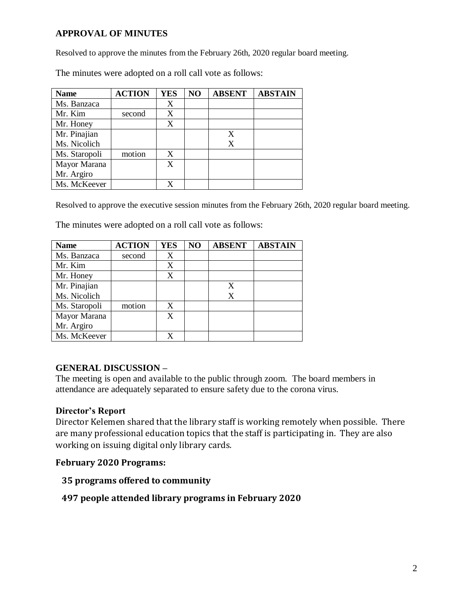### **APPROVAL OF MINUTES**

Resolved to approve the minutes from the February 26th, 2020 regular board meeting.

The minutes were adopted on a roll call vote as follows:

| <b>Name</b>   | <b>ACTION</b> | <b>YES</b> | N <sub>O</sub> | <b>ABSENT</b> | <b>ABSTAIN</b> |
|---------------|---------------|------------|----------------|---------------|----------------|
| Ms. Banzaca   |               | X          |                |               |                |
| Mr. Kim       | second        | X          |                |               |                |
| Mr. Honey     |               | X          |                |               |                |
| Mr. Pinajian  |               |            |                | X             |                |
| Ms. Nicolich  |               |            |                | X             |                |
| Ms. Staropoli | motion        | X          |                |               |                |
| Mayor Marana  |               | X          |                |               |                |
| Mr. Argiro    |               |            |                |               |                |
| Ms. McKeever  |               |            |                |               |                |

Resolved to approve the executive session minutes from the February 26th, 2020 regular board meeting.

The minutes were adopted on a roll call vote as follows:

| <b>Name</b>   | <b>ACTION</b> | <b>YES</b> | NO | <b>ABSENT</b> | <b>ABSTAIN</b> |
|---------------|---------------|------------|----|---------------|----------------|
| Ms. Banzaca   | second        | X          |    |               |                |
| Mr. Kim       |               | X          |    |               |                |
| Mr. Honey     |               | X          |    |               |                |
| Mr. Pinajian  |               |            |    | X             |                |
| Ms. Nicolich  |               |            |    | X             |                |
| Ms. Staropoli | motion        | X          |    |               |                |
| Mayor Marana  |               | X          |    |               |                |
| Mr. Argiro    |               |            |    |               |                |
| Ms. McKeever  |               |            |    |               |                |

## **GENERAL DISCUSSION –**

The meeting is open and available to the public through zoom. The board members in attendance are adequately separated to ensure safety due to the corona virus.

#### **Director's Report**

Director Kelemen shared that the library staff is working remotely when possible. There are many professional education topics that the staff is participating in. They are also working on issuing digital only library cards.

#### **February 2020 Programs:**

#### **35 programs offered to community**

## **497 people attended library programs in February 2020**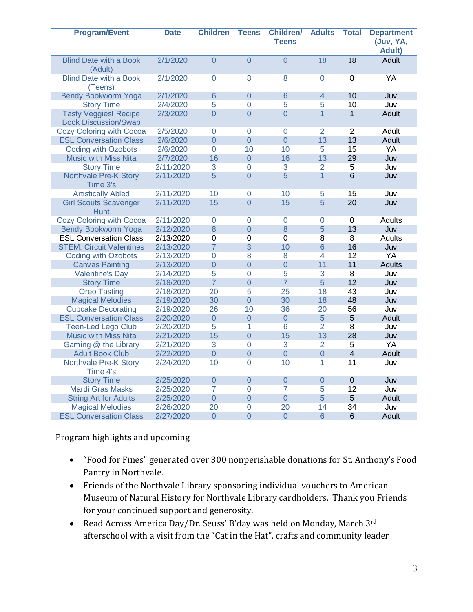| <b>Program/Event</b>                                        | <b>Date</b> | <b>Children</b>  | <b>Teens</b>   | <b>Children/</b><br><b>Teens</b> | <b>Adults</b>   | <b>Total</b>    | <b>Department</b><br>(Juv, YA,<br><b>Adult)</b> |
|-------------------------------------------------------------|-------------|------------------|----------------|----------------------------------|-----------------|-----------------|-------------------------------------------------|
| <b>Blind Date with a Book</b><br>(Adult)                    | 2/1/2020    | $\overline{0}$   | $\overline{0}$ | $\overline{0}$                   | $\overline{18}$ | $\overline{18}$ | Adult                                           |
| <b>Blind Date with a Book</b><br>(Teens)                    | 2/1/2020    | $\Omega$         | 8              | 8                                | $\Omega$        | 8               | YA                                              |
| <b>Bendy Bookworm Yoga</b>                                  | 2/1/2020    | 6                | $\overline{0}$ | 6                                | $\overline{4}$  | 10              | Juv                                             |
| <b>Story Time</b>                                           | 2/4/2020    | 5                | $\overline{0}$ | 5                                | $\overline{5}$  | 10              | Juv                                             |
| <b>Tasty Veggies! Recipe</b><br><b>Book Discussion/Swap</b> | 2/3/2020    | $\overline{0}$   | $\overline{0}$ | $\Omega$                         | $\overline{1}$  | $\mathbf{1}$    | Adult                                           |
| <b>Cozy Coloring with Cocoa</b>                             | 2/5/2020    | $\mathsf 0$      | 0              | $\overline{0}$                   | $\overline{2}$  | $\overline{2}$  | Adult                                           |
| <b>ESL Conversation Class</b>                               | 2/6/2020    | $\overline{0}$   | $\overline{0}$ | $\overline{0}$                   | 13              | 13              | Adult                                           |
| <b>Coding with Ozobots</b>                                  | 2/6/2020    | 0                | 10             | 10                               | 5               | 15              | YA                                              |
| <b>Music with Miss Nita</b>                                 | 2/7/2020    | 16               | $\overline{0}$ | 16                               | 13              | 29              | Juv                                             |
| <b>Story Time</b>                                           | 2/11/2020   | 3                | 0              | 3                                | $\overline{2}$  | 5               | Juv                                             |
| Northvale Pre-K Story<br>Time 3's                           | 2/11/2020   | 5                | $\overline{0}$ | 5                                | $\mathbf{1}$    | $6\phantom{1}6$ | Juv                                             |
| <b>Artistically Abled</b>                                   | 2/11/2020   | 10               | 0              | 10                               | 5               | 15              | Juv                                             |
| <b>Girl Scouts Scavenger</b><br><b>Hunt</b>                 | 2/11/2020   | 15               | $\overline{0}$ | 15                               | 5               | 20              | Juv                                             |
| Cozy Coloring with Cocoa                                    | 2/11/2020   | 0                | 0              | $\overline{0}$                   | 0               | $\mathbf 0$     | <b>Adults</b>                                   |
| Bendy Bookworm Yoga                                         | 2/12/2020   | 8                | $\overline{0}$ | 8                                | 5               | 13              | Juv                                             |
| <b>ESL Conversation Class</b>                               | 2/13/2020   | $\boldsymbol{0}$ | $\mathbf 0$    | 0                                | 8               | 8               | Adults                                          |
| <b>STEM: Circuit Valentines</b>                             | 2/13/2020   | $\overline{7}$   | 3              | 10                               | $6\phantom{1}6$ | 16              | Juv                                             |
| <b>Coding with Ozobots</b>                                  | 2/13/2020   | $\overline{0}$   | 8              | 8                                | 4               | 12              | YA                                              |
| <b>Canvas Painting</b>                                      | 2/13/2020   | $\overline{0}$   | $\overline{0}$ | $\overline{0}$                   | 11              | 11              | <b>Adults</b>                                   |
| <b>Valentine's Day</b>                                      | 2/14/2020   | $\overline{5}$   | $\overline{0}$ | $\overline{5}$                   | $\overline{3}$  | $\overline{8}$  | Juv                                             |
| <b>Story Time</b>                                           | 2/18/2020   | $\overline{7}$   | $\overline{0}$ | $\overline{7}$                   | 5               | 12              | Juv                                             |
| <b>Oreo Tasting</b>                                         | 2/18/2020   | 20               | 5              | 25                               | 18              | 43              | Juv                                             |
| <b>Magical Melodies</b>                                     | 2/19/2020   | 30               | $\overline{0}$ | 30                               | 18              | 48              | Juv                                             |
| <b>Cupcake Decorating</b>                                   | 2/19/2020   | 26               | 10             | 36                               | 20              | 56              | Juv                                             |
| <b>ESL Conversation Class</b>                               | 2/20/2020   | $\overline{0}$   | $\overline{0}$ | $\overline{0}$                   | 5               | 5               | Adult                                           |
| <b>Teen-Led Lego Club</b>                                   | 2/20/2020   | 5                | 1              | 6                                | $\overline{2}$  | 8               | Juv                                             |
| <b>Music with Miss Nita</b>                                 | 2/21/2020   | 15               | $\overline{0}$ | 15                               | 13              | 28              | Juv                                             |
| Gaming @ the Library                                        | 2/21/2020   | 3                | 0              | 3                                | $\overline{2}$  | 5               | YA                                              |
| <b>Adult Book Club</b>                                      | 2/22/2020   | $\overline{0}$   | $\overline{0}$ | $\Omega$                         | $\overline{0}$  | $\overline{4}$  | Adult                                           |
| Northvale Pre-K Story<br>Time 4's                           | 2/24/2020   | 10               | $\overline{0}$ | 10                               | 1               | 11              | Juv                                             |
| <b>Story Time</b>                                           | 2/25/2020   | $\overline{0}$   | $\overline{0}$ | $\overline{0}$                   | $\overline{0}$  | $\overline{0}$  | Juv                                             |
| <b>Mardi Gras Masks</b>                                     | 2/25/2020   | $\overline{7}$   | $\overline{0}$ | $\overline{7}$                   | 5               | 12              | Juv                                             |
| <b>String Art for Adults</b>                                | 2/25/2020   | $\overline{0}$   | $\overline{0}$ | $\overline{0}$                   | 5               | 5               | Adult                                           |
| <b>Magical Melodies</b>                                     | 2/26/2020   | 20               | $\overline{0}$ | 20                               | 14              | 34              | Juv                                             |
| <b>ESL Conversation Class</b>                               | 2/27/2020   | $\overline{0}$   | $\overline{0}$ | $\overline{0}$                   | 6               | $6\phantom{1}6$ | Adult                                           |

Program highlights and upcoming

- "Food for Fines" generated over 300 nonperishable donations for St. Anthony's Food Pantry in Northvale.
- Friends of the Northvale Library sponsoring individual vouchers to American Museum of Natural History for Northvale Library cardholders. Thank you Friends for your continued support and generosity.
- Read Across America Day/Dr. Seuss' B'day was held on Monday, March 3rd afterschool with a visit from the "Cat in the Hat", crafts and community leader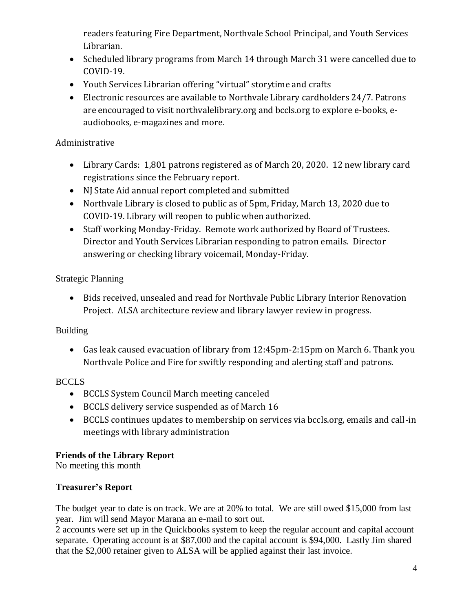readers featuring Fire Department, Northvale School Principal, and Youth Services Librarian.

- Scheduled library programs from March 14 through March 31 were cancelled due to COVID-19.
- Youth Services Librarian offering "virtual" storytime and crafts
- Electronic resources are available to Northvale Library cardholders 24/7. Patrons are encouraged to visit northvalelibrary.org and bccls.org to explore e-books, eaudiobooks, e-magazines and more.

# Administrative

- Library Cards: 1,801 patrons registered as of March 20, 2020. 12 new library card registrations since the February report.
- NJ State Aid annual report completed and submitted
- Northvale Library is closed to public as of 5pm, Friday, March 13, 2020 due to COVID-19. Library will reopen to public when authorized.
- Staff working Monday-Friday. Remote work authorized by Board of Trustees. Director and Youth Services Librarian responding to patron emails. Director answering or checking library voicemail, Monday-Friday.

# Strategic Planning

 Bids received, unsealed and read for Northvale Public Library Interior Renovation Project. ALSA architecture review and library lawyer review in progress.

## Building

 Gas leak caused evacuation of library from 12:45pm-2:15pm on March 6. Thank you Northvale Police and Fire for swiftly responding and alerting staff and patrons.

## **BCCLS**

- BCCLS System Council March meeting canceled
- BCCLS delivery service suspended as of March 16
- BCCLS continues updates to membership on services via bccls.org, emails and call-in meetings with library administration

## **Friends of the Library Report**

No meeting this month

## **Treasurer's Report**

The budget year to date is on track. We are at 20% to total. We are still owed \$15,000 from last year. Jim will send Mayor Marana an e-mail to sort out.

2 accounts were set up in the Quickbooks system to keep the regular account and capital account separate. Operating account is at \$87,000 and the capital account is \$94,000. Lastly Jim shared that the \$2,000 retainer given to ALSA will be applied against their last invoice.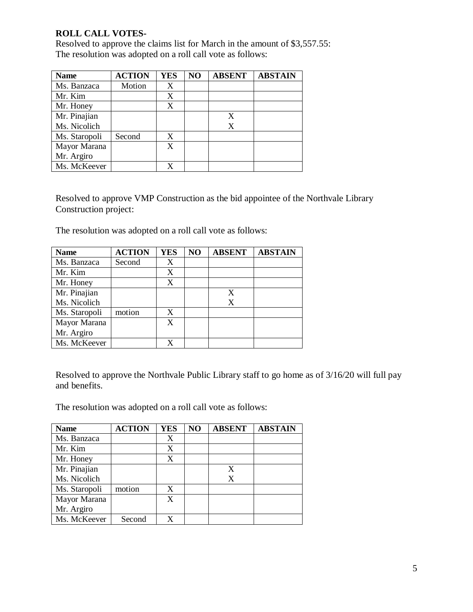### **ROLL CALL VOTES-**

Resolved to approve the claims list for March in the amount of \$3,557.55: The resolution was adopted on a roll call vote as follows:

| <b>Name</b>   | <b>ACTION</b> | <b>YES</b> | N <sub>O</sub> | <b>ABSENT</b> | <b>ABSTAIN</b> |
|---------------|---------------|------------|----------------|---------------|----------------|
| Ms. Banzaca   | Motion        | X          |                |               |                |
| Mr. Kim       |               | X          |                |               |                |
| Mr. Honey     |               | X          |                |               |                |
| Mr. Pinajian  |               |            |                | X             |                |
| Ms. Nicolich  |               |            |                | X             |                |
| Ms. Staropoli | Second        | X          |                |               |                |
| Mayor Marana  |               | X          |                |               |                |
| Mr. Argiro    |               |            |                |               |                |
| Ms. McKeever  |               |            |                |               |                |

Resolved to approve VMP Construction as the bid appointee of the Northvale Library Construction project:

The resolution was adopted on a roll call vote as follows:

| <b>Name</b>   | <b>ACTION</b> | <b>YES</b> | NO | <b>ABSENT</b> | <b>ABSTAIN</b> |
|---------------|---------------|------------|----|---------------|----------------|
| Ms. Banzaca   | Second        | X          |    |               |                |
| Mr. Kim       |               | X          |    |               |                |
| Mr. Honey     |               | X          |    |               |                |
| Mr. Pinajian  |               |            |    | X             |                |
| Ms. Nicolich  |               |            |    | X             |                |
| Ms. Staropoli | motion        | X          |    |               |                |
| Mayor Marana  |               | X          |    |               |                |
| Mr. Argiro    |               |            |    |               |                |
| Ms. McKeever  |               |            |    |               |                |

Resolved to approve the Northvale Public Library staff to go home as of 3/16/20 will full pay and benefits.

The resolution was adopted on a roll call vote as follows:

| <b>Name</b>   | <b>ACTION</b> | <b>YES</b> | NO | <b>ABSENT</b> | <b>ABSTAIN</b> |
|---------------|---------------|------------|----|---------------|----------------|
| Ms. Banzaca   |               |            |    |               |                |
| Mr. Kim       |               | X          |    |               |                |
| Mr. Honey     |               | X          |    |               |                |
| Mr. Pinajian  |               |            |    | X             |                |
| Ms. Nicolich  |               |            |    | X             |                |
| Ms. Staropoli | motion        | X          |    |               |                |
| Mayor Marana  |               | X          |    |               |                |
| Mr. Argiro    |               |            |    |               |                |
| Ms. McKeever  | Second        | x          |    |               |                |